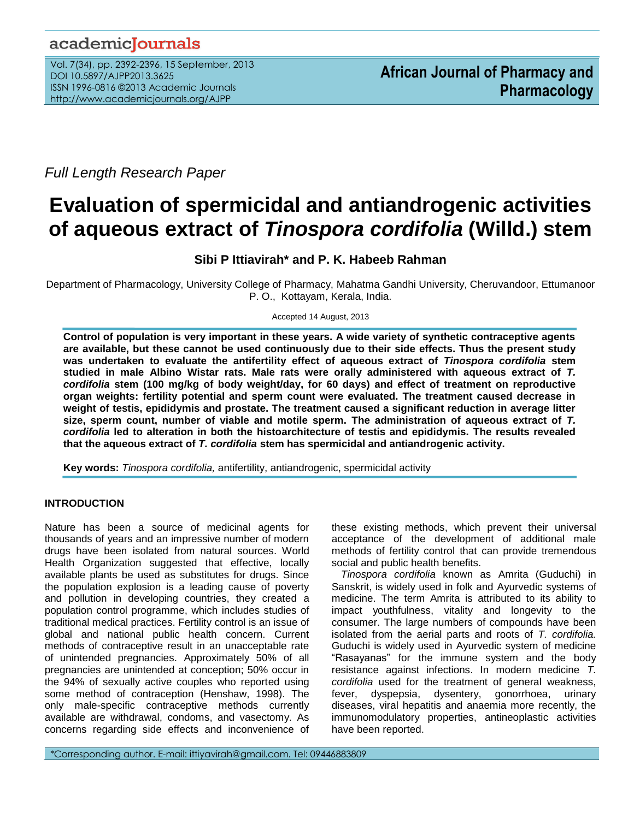# academicJournals

Vol. 7(34), pp. 2392-2396, 15 September, 2013 DOI 10.5897/AJPP2013.3625 ISSN 1996-0816 ©2013 Academic Journals http://www.academicjournals.org/AJPP

*Full Length Research Paper*

# **Evaluation of spermicidal and antiandrogenic activities of aqueous extract of** *Tinospora cordifolia* **(Willd.) stem**

# **Sibi P Ittiavirah\* and P. K. Habeeb Rahman**

Department of Pharmacology, University College of Pharmacy, Mahatma Gandhi University, Cheruvandoor, Ettumanoor P. O., Kottayam, Kerala, India.

Accepted 14 August, 2013

**Control of population is very important in these years. A wide variety of synthetic contraceptive agents are available, but these cannot be used continuously due to their side effects. Thus the present study was undertaken to evaluate the antifertility effect of aqueous extract of** *Tinospora cordifolia* **stem studied in male Albino Wistar rats. Male rats were orally administered with aqueous extract of** *T. cordifolia* **stem (100 mg/kg of body weight/day, for 60 days) and effect of treatment on reproductive organ weights: fertility potential and sperm count were evaluated. The treatment caused decrease in weight of testis, epididymis and prostate. The treatment caused a significant reduction in average litter size, sperm count, number of viable and motile sperm. The administration of aqueous extract of** *T. cordifolia* **led to alteration in both the histoarchitecture of testis and epididymis. The results revealed that the aqueous extract of** *T. cordifolia* **stem has spermicidal and antiandrogenic activity.**

**Key words:** *Tinospora cordifolia,* antifertility, antiandrogenic, spermicidal activity

# **INTRODUCTION**

Nature has been a source of medicinal agents for thousands of years and an impressive number of modern drugs have been isolated from natural sources. World Health Organization suggested that effective, locally available plants be used as substitutes for drugs. Since the population explosion is a leading cause of poverty and pollution in developing countries, they created a population control programme, which includes studies of traditional medical practices. Fertility control is an issue of global and national public health concern. Current methods of contraceptive result in an unacceptable rate of unintended pregnancies. Approximately 50% of all pregnancies are unintended at conception; 50% occur in the 94% of sexually active couples who reported using some method of contraception (Henshaw, 1998). The only male-specific contraceptive methods currently available are withdrawal, condoms, and vasectomy. As concerns regarding side effects and inconvenience of

these existing methods, which prevent their universal acceptance of the development of additional male methods of fertility control that can provide tremendous social and public health benefits.

*Tinospora cordifolia* known as Amrita (Guduchi) in Sanskrit, is widely used in folk and Ayurvedic systems of medicine. The term Amrita is attributed to its ability to impact youthfulness, vitality and longevity to the consumer. The large numbers of compounds have been isolated from the aerial parts and roots of *T. cordifolia.*  Guduchi is widely used in Ayurvedic system of medicine "Rasayanas" for the immune system and the body resistance against infections. In modern medicine *T. cordifolia* used for the treatment of general weakness, fever, dyspepsia, dysentery, gonorrhoea, urinary diseases, viral hepatitis and anaemia more recently, the immunomodulatory properties, antineoplastic activities have been reported.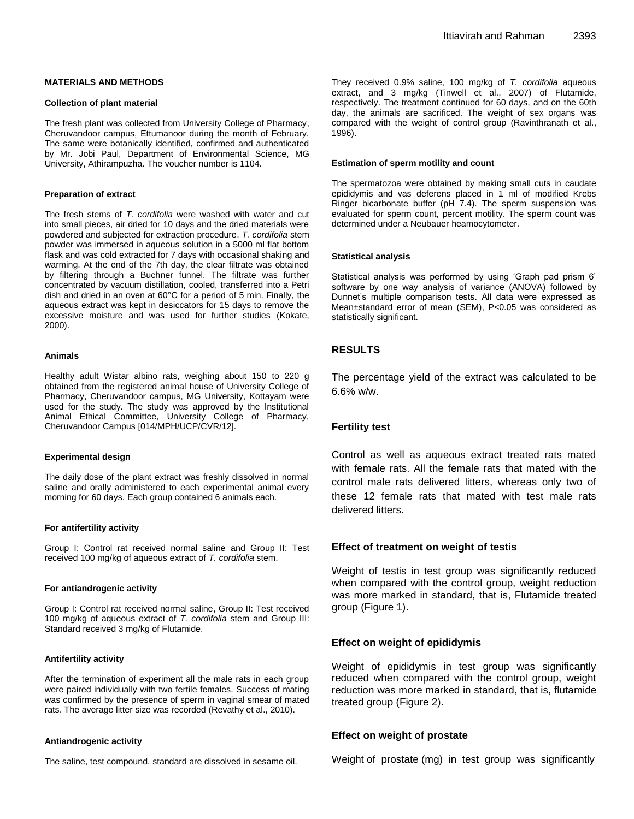#### **MATERIALS AND METHODS**

#### **Collection of plant material**

The fresh plant was collected from University College of Pharmacy, Cheruvandoor campus, Ettumanoor during the month of February. The same were botanically identified, confirmed and authenticated by Mr. Jobi Paul, Department of Environmental Science, MG University, Athirampuzha. The voucher number is 1104.

#### **Preparation of extract**

The fresh stems of *T. cordifolia* were washed with water and cut into small pieces, air dried for 10 days and the dried materials were powdered and subjected for extraction procedure. *T. cordifolia* stem powder was immersed in aqueous solution in a 5000 ml flat bottom flask and was cold extracted for 7 days with occasional shaking and warming. At the end of the 7th day, the clear filtrate was obtained by filtering through a Buchner funnel. The filtrate was further concentrated by vacuum distillation, cooled, transferred into a Petri dish and dried in an oven at 60°C for a period of 5 min. Finally, the aqueous extract was kept in desiccators for 15 days to remove the excessive moisture and was used for further studies (Kokate, 2000).

#### **Animals**

Healthy adult Wistar albino rats, weighing about 150 to 220 g obtained from the registered animal house of University College of Pharmacy, Cheruvandoor campus, MG University, Kottayam were used for the study. The study was approved by the Institutional Animal Ethical Committee, University College of Pharmacy, Cheruvandoor Campus [014/MPH/UCP/CVR/12].

#### **Experimental design**

The daily dose of the plant extract was freshly dissolved in normal saline and orally administered to each experimental animal every morning for 60 days. Each group contained 6 animals each.

#### **For antifertility activity**

Group I: Control rat received normal saline and Group II: Test received 100 mg/kg of aqueous extract of *T. cordifolia* stem.

#### **For antiandrogenic activity**

Group I: Control rat received normal saline, Group II: Test received 100 mg/kg of aqueous extract of *T. cordifolia* stem and Group III: Standard received 3 mg/kg of Flutamide.

#### **Antifertility activity**

After the termination of experiment all the male rats in each group were paired individually with two fertile females. Success of mating was confirmed by the presence of sperm in vaginal smear of mated rats. The average litter size was recorded (Revathy et al., 2010).

#### **Antiandrogenic activity**

The saline, test compound, standard are dissolved in sesame oil.

They received 0.9% saline, 100 mg/kg of *T. cordifolia* aqueous extract, and 3 mg/kg (Tinwell et al., 2007) of Flutamide, respectively. The treatment continued for 60 days, and on the 60th day, the animals are sacrificed. The weight of sex organs was compared with the weight of control group (Ravinthranath et al., 1996).

#### **Estimation of sperm motility and count**

The spermatozoa were obtained by making small cuts in caudate epididymis and vas deferens placed in 1 ml of modified Krebs Ringer bicarbonate buffer (pH 7.4). The sperm suspension was evaluated for sperm count, percent motility. The sperm count was determined under a Neubauer heamocytometer.

#### **Statistical analysis**

Statistical analysis was performed by using 'Graph pad prism 6' software by one way analysis of variance (ANOVA) followed by Dunnet's multiple comparison tests. All data were expressed as Mean±standard error of mean (SEM), P<0.05 was considered as statistically significant.

# **RESULTS**

The percentage yield of the extract was calculated to be 6.6% w/w.

# **Fertility test**

Control as well as aqueous extract treated rats mated with female rats. All the female rats that mated with the control male rats delivered litters, whereas only two of these 12 female rats that mated with test male rats delivered litters.

#### **Effect of treatment on weight of testis**

Weight of testis in test group was significantly reduced when compared with the control group, weight reduction was more marked in standard, that is, Flutamide treated group (Figure 1).

# **Effect on weight of epididymis**

Weight of epididymis in test group was significantly reduced when compared with the control group, weight reduction was more marked in standard, that is, flutamide treated group (Figure 2).

#### **Effect on weight of prostate**

Weight of prostate (mg) in test group was significantly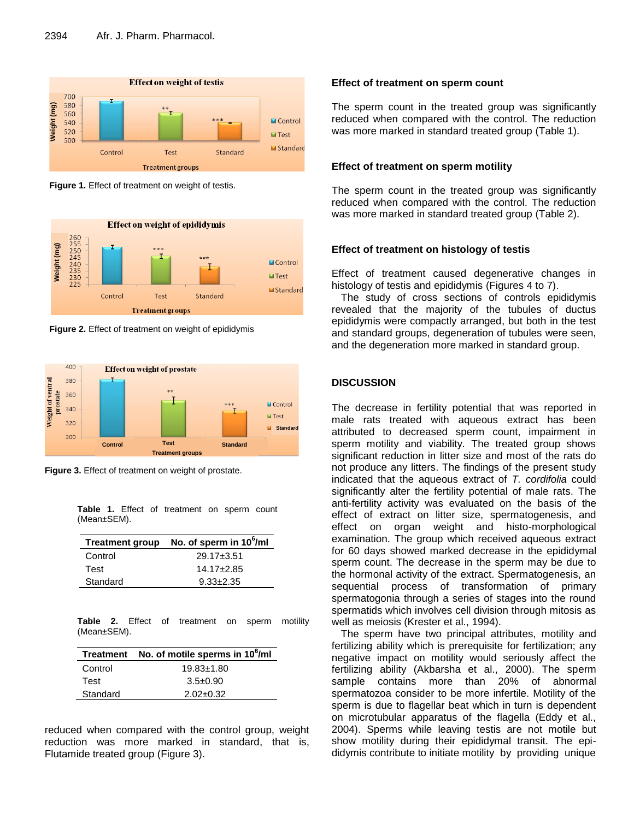

**Figure 1.** Effect of treatment on weight of testis.



**Figure 2.** Effect of treatment on weight of epididymis



**Figure 3.** Effect of treatment on weight of prostate.

**Table 1.** Effect of treatment on sperm count (Mean±SEM).

| <b>Treatment group</b> | No. of sperm in 10 <sup>6</sup> /ml |
|------------------------|-------------------------------------|
| Control                | $29.17 \pm 3.51$                    |
| Test                   | $14.17 \pm 2.85$                    |
| Standard               | $9.33 + 2.35$                       |

**Table 2.** Effect of treatment on sperm motility (Mean±SEM).

|          | Treatment No. of motile sperms in 10 <sup>6</sup> /ml |
|----------|-------------------------------------------------------|
| Control  | $19.83 \pm 1.80$                                      |
| Test     | $3.5 \pm 0.90$                                        |
| Standard | $2.02 + 0.32$                                         |

reduced when compared with the control group, weight reduction was more marked in standard, that is, Flutamide treated group (Figure 3).

#### **Effect of treatment on sperm count**

The sperm count in the treated group was significantly reduced when compared with the control. The reduction was more marked in standard treated group (Table 1).

#### **Effect of treatment on sperm motility**

The sperm count in the treated group was significantly reduced when compared with the control. The reduction was more marked in standard treated group (Table 2).

#### **Effect of treatment on histology of testis**

Effect of treatment caused degenerative changes in histology of testis and epididymis (Figures 4 to 7).

The study of cross sections of controls epididymis revealed that the majority of the tubules of ductus epididymis were compactly arranged, but both in the test and standard groups, degeneration of tubules were seen, and the degeneration more marked in standard group.

# **DISCUSSION**

The decrease in fertility potential that was reported in male rats treated with aqueous extract has been attributed to decreased sperm count, impairment in sperm motility and viability. The treated group shows significant reduction in litter size and most of the rats do not produce any litters. The findings of the present study indicated that the aqueous extract of *T. cordifolia* could significantly alter the fertility potential of male rats. The anti-fertility activity was evaluated on the basis of the effect of extract on litter size, spermatogenesis, and effect on organ weight and histo-morphological examination. The group which received aqueous extract for 60 days showed marked decrease in the epididymal sperm count. The decrease in the sperm may be due to the hormonal activity of the extract. Spermatogenesis, an sequential process of transformation of primary spermatogonia through a series of stages into the round spermatids which involves cell division through mitosis as well as meiosis (Krester et al., 1994).

The sperm have two principal attributes, motility and fertilizing ability which is prerequisite for fertilization; any negative impact on motility would seriously affect the fertilizing ability (Akbarsha et al., 2000). The sperm sample contains more than 20% of abnormal spermatozoa consider to be more infertile. Motility of the sperm is due to flagellar beat which in turn is dependent on microtubular apparatus of the flagella (Eddy et al., 2004). Sperms while leaving testis are not motile but show motility during their epididymal transit. The epididymis contribute to initiate motility by providing unique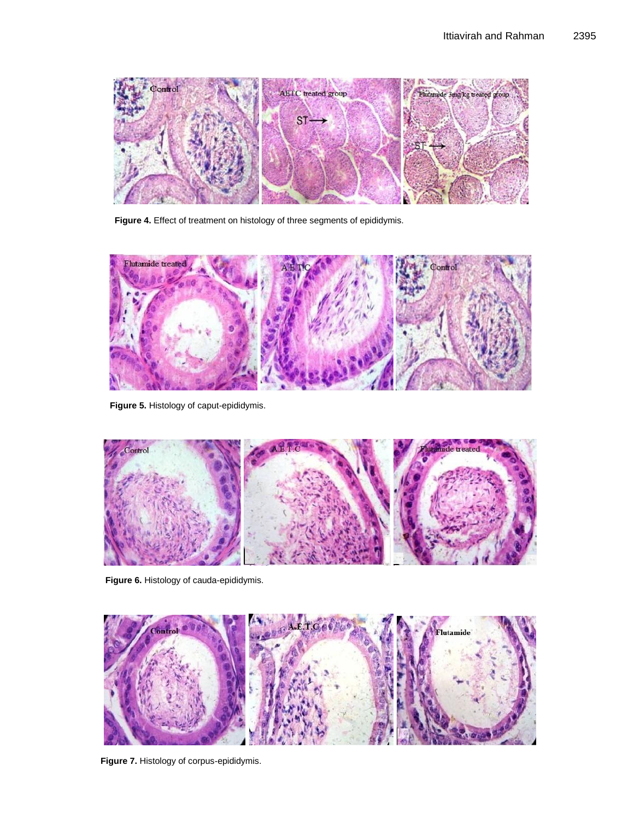

**Figure 4.** Effect of treatment on histology of three segments of epididymis.



**Figure 5.** Histology of caput-epididymis.



**Figure 6.** Histology of cauda-epididymis.



**Figure 7.** Histology of corpus-epididymis.